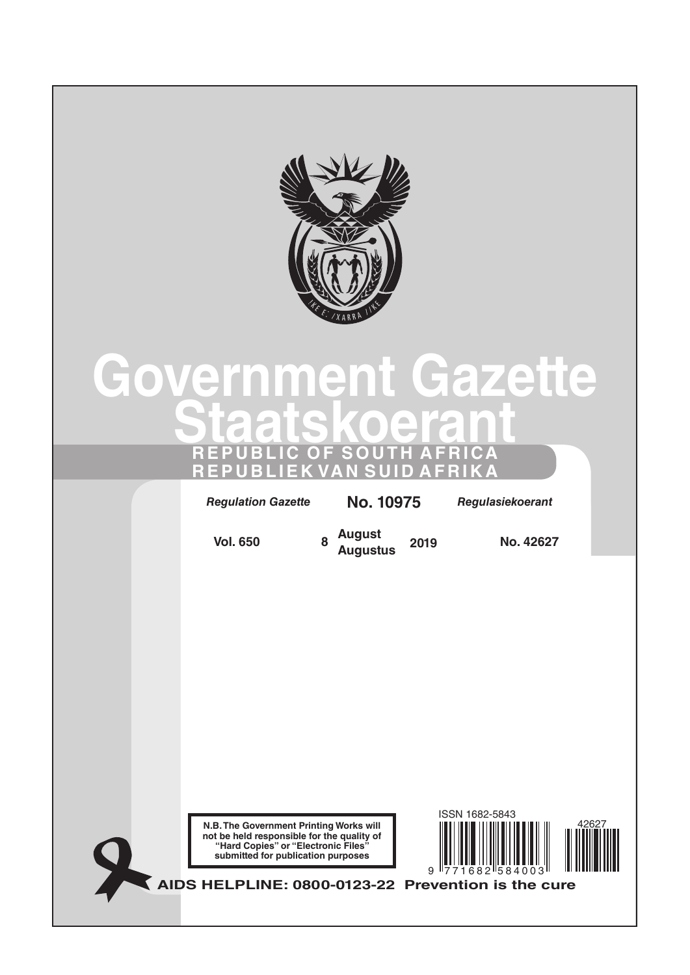

# **Government Gazette Staatskoerant REPUBLIC OF SOUTH AFRICA REPUBLIEK VAN SUID AFRIKA**

*Regulation Gazette* **No. 10177** *Regulasiekoerant Regulation Gazette* **No. 10975** *Regulasiekoerant*

**Vol. 650 <sup>8</sup> August Augustus <sup>2019</sup> No. 42627**





**AIDS HELPLINE: 0800-0123-22 Prevention is the cure**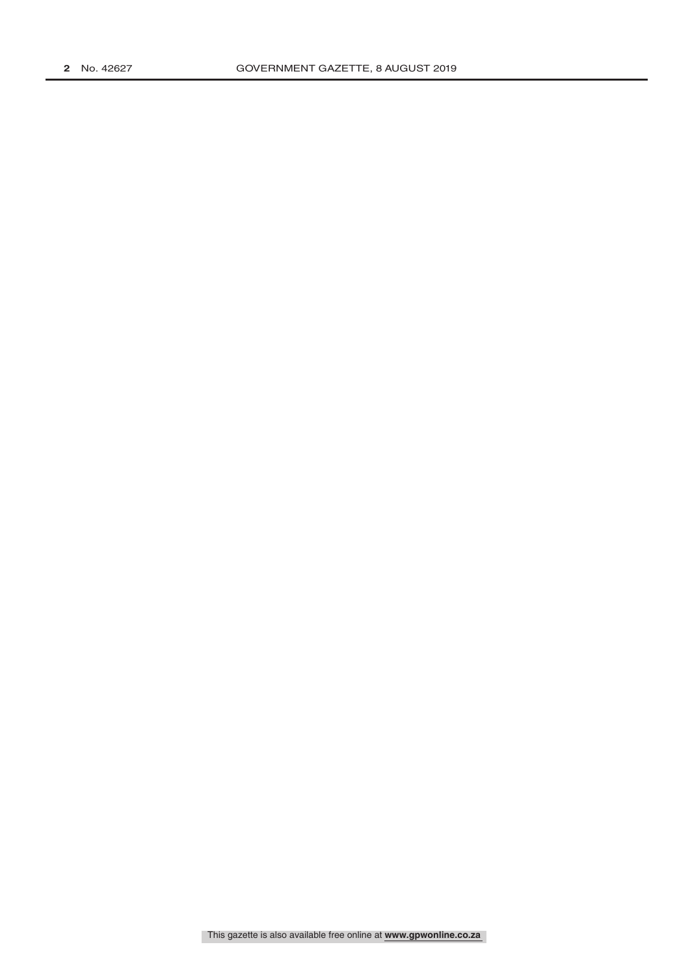This gazette is also available free online at **www.gpwonline.co.za**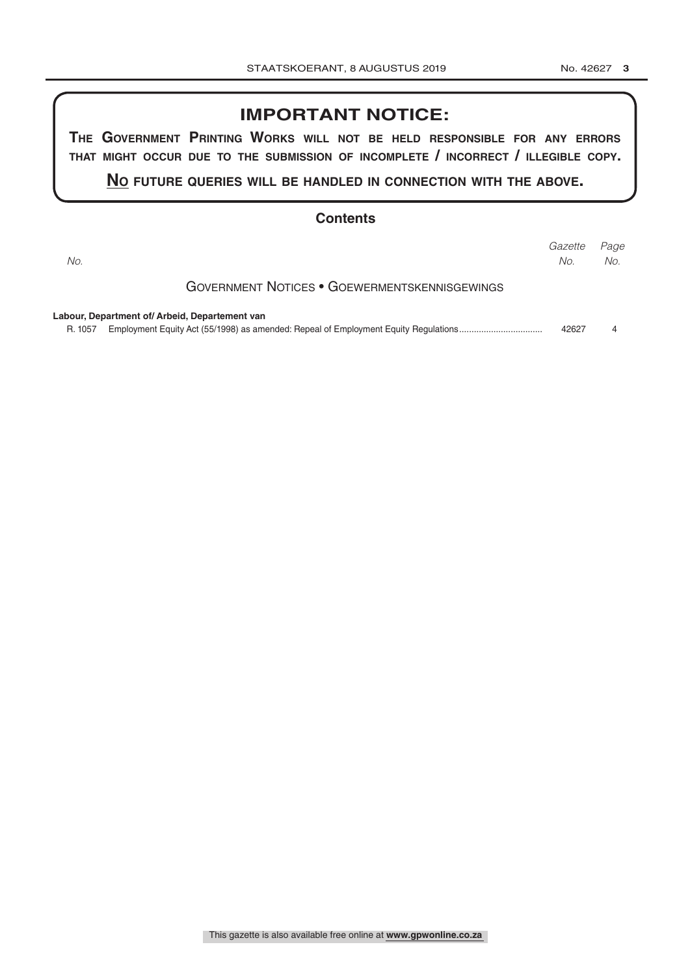## **IMPORTANT NOTICE:**

**The GovernmenT PrinTinG Works Will noT be held resPonsible for any errors ThaT miGhT occur due To The submission of incomPleTe / incorrecT / illeGible coPy.**

**no fuTure queries Will be handled in connecTion WiTh The above.**

#### **Contents**

|         |                                                      | Gazette | Page |
|---------|------------------------------------------------------|---------|------|
| No.     |                                                      | No.     | No.  |
|         | <b>GOVERNMENT NOTICES • GOEWERMENTSKENNISGEWINGS</b> |         |      |
|         | Labour, Department of/ Arbeid, Departement van       |         |      |
| R. 1057 |                                                      | 42627   |      |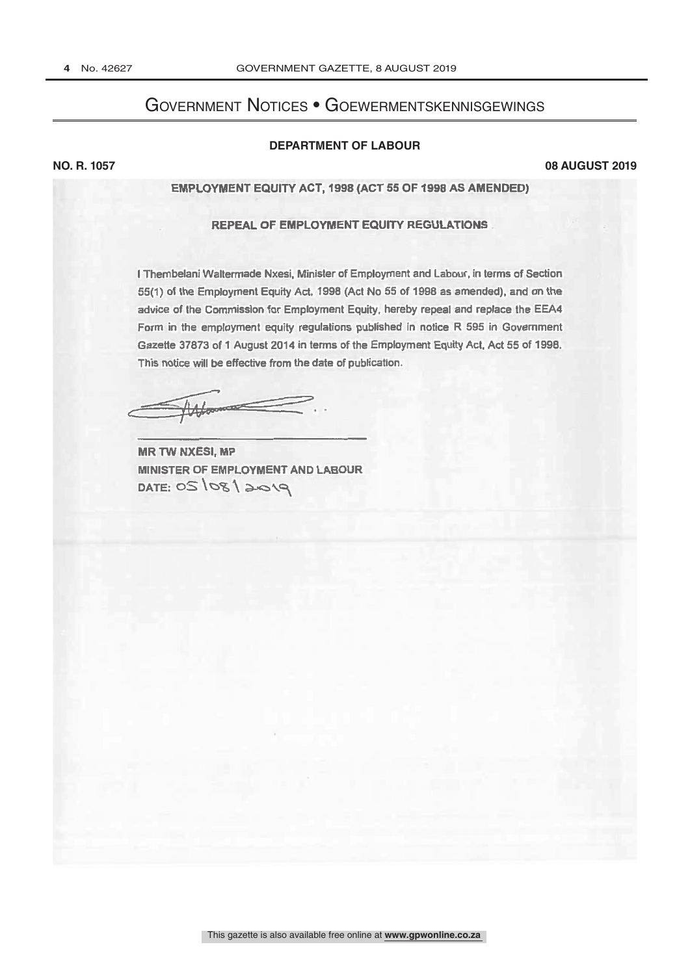# Government Notices • Goewermentskennisgewings

#### **DEPARTMENT OF LABOUR**

**NO. R. 1057 08 AUGUST 2019**

#### EMPLOYMENT EQUITY ACT, 1998 (ACT 55 OF 1998 AS AMENDED)

#### **REPEAL OF EMPLOYMENT EQUITY REGULATIONS**

<sup>I</sup>Thembelani Waltermade Nxesi, Minister of Employment and Labour, in terms of Section 55(1) of the Employment Equity Act, 1998 (Act No 55 of 1998 as amended), and on the advice of the Commission for Employment Equity, hereby repeal and replace the EEA4 Form in the employment equity regulations published in notice R 595 in Government Gazette 37873 of 1 August 2014 in terms of the Employment Equity Act, Act 55 of 1998. This notice will be effective from the date of publication

11 toures oW-- --- ,.\_ f

**MR TW NXESI, MP** MINISTER OF EMPLOYMENT AND LABOUR  $PAS / SO$  120:37AD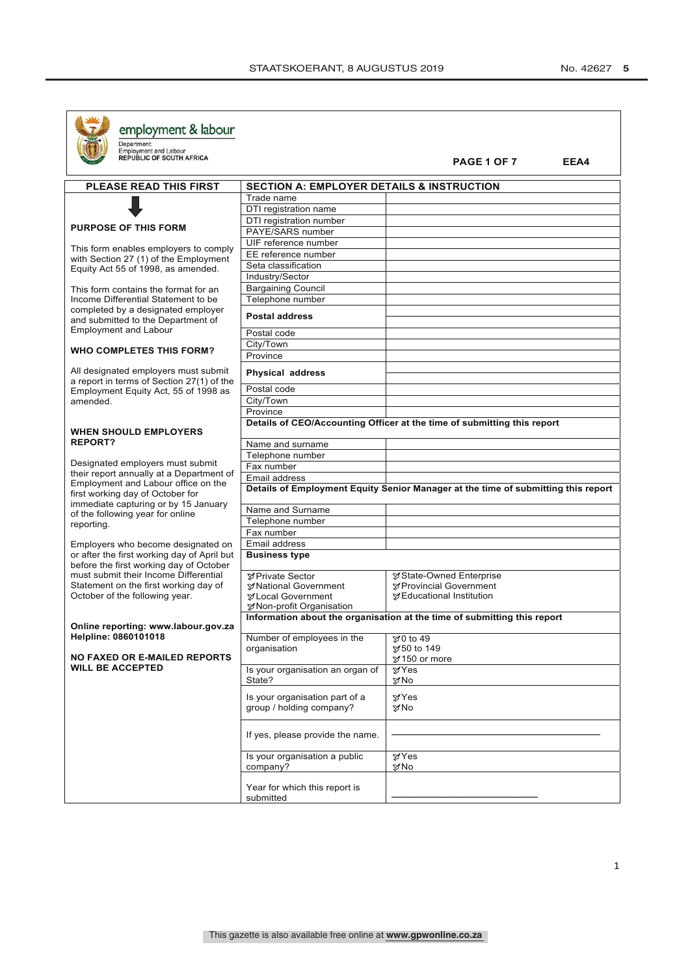| employment & labour<br>Department:                                                     |                                                            |                                                                                   |
|----------------------------------------------------------------------------------------|------------------------------------------------------------|-----------------------------------------------------------------------------------|
| Employment and Labour<br><b>REPUBLIC OF SOUTH AFRICA</b>                               |                                                            | PAGE 1 OF 7<br>EEA4                                                               |
| <b>PLEASE READ THIS FIRST</b>                                                          | <b>SECTION A: EMPLOYER DETAILS &amp; INSTRUCTION</b>       |                                                                                   |
|                                                                                        | Trade name                                                 |                                                                                   |
|                                                                                        | DTI registration name                                      |                                                                                   |
| <b>PURPOSE OF THIS FORM</b>                                                            | DTI registration number                                    |                                                                                   |
|                                                                                        | PAYE/SARS number                                           |                                                                                   |
| This form enables employers to comply                                                  | UIF reference number<br>EE reference number                |                                                                                   |
| with Section 27 (1) of the Employment                                                  | Seta classification                                        |                                                                                   |
| Equity Act 55 of 1998, as amended.                                                     | Industry/Sector                                            |                                                                                   |
| This form contains the format for an                                                   | <b>Bargaining Council</b>                                  |                                                                                   |
| Income Differential Statement to be                                                    | Telephone number                                           |                                                                                   |
| completed by a designated employer<br>and submitted to the Department of               | <b>Postal address</b>                                      |                                                                                   |
| <b>Employment and Labour</b>                                                           | Postal code                                                |                                                                                   |
|                                                                                        | City/Town                                                  |                                                                                   |
| <b>WHO COMPLETES THIS FORM?</b>                                                        | Province                                                   |                                                                                   |
| All designated employers must submit<br>a report in terms of Section 27(1) of the      | <b>Physical address</b>                                    |                                                                                   |
| Employment Equity Act, 55 of 1998 as                                                   | Postal code                                                |                                                                                   |
| amended.                                                                               | City/Town                                                  |                                                                                   |
|                                                                                        | Province                                                   |                                                                                   |
| <b>WHEN SHOULD EMPLOYERS</b>                                                           |                                                            | Details of CEO/Accounting Officer at the time of submitting this report           |
| <b>REPORT?</b>                                                                         | Name and surname                                           |                                                                                   |
| Designated employers must submit                                                       | Telephone number                                           |                                                                                   |
| their report annually at a Department of                                               | Fax number                                                 |                                                                                   |
| Employment and Labour office on the                                                    | Email address                                              | Details of Employment Equity Senior Manager at the time of submitting this report |
| first working day of October for<br>immediate capturing or by 15 January               |                                                            |                                                                                   |
| of the following year for online                                                       | Name and Surname                                           |                                                                                   |
| reporting.                                                                             | Telephone number                                           |                                                                                   |
|                                                                                        | Fax number                                                 |                                                                                   |
| Employers who become designated on                                                     | Email address<br><b>Business type</b>                      |                                                                                   |
| or after the first working day of April but<br>before the first working day of October |                                                            |                                                                                   |
| must submit their Income Differential                                                  | <b>S</b> Private Sector                                    | 》State-Owned Enterprise                                                           |
| Statement on the first working day of                                                  | <b>Mational Government</b>                                 | স্ত Provincial Government                                                         |
| October of the following year.                                                         | <b>Y Local Government</b>                                  | De Educational Institution                                                        |
|                                                                                        | ₹Non-profit Organisation                                   |                                                                                   |
| Online reporting: www.labour.gov.za                                                    |                                                            | Information about the organisation at the time of submitting this report          |
| <b>Helpline: 0860101018</b>                                                            | Number of employees in the                                 | $500$ to 49                                                                       |
| <b>NO FAXED OR E-MAILED REPORTS</b>                                                    | organisation                                               | \$950 to 149                                                                      |
| <b>WILL BE ACCEPTED</b>                                                                |                                                            | ช 150 or more                                                                     |
|                                                                                        | Is your organisation an organ of<br>State?                 | স্থ Yes<br>No ا                                                                   |
|                                                                                        | Is your organisation part of a<br>group / holding company? | ダYes<br>ΛMο                                                                       |
|                                                                                        | If yes, please provide the name.                           |                                                                                   |
|                                                                                        | Is your organisation a public<br>company?                  | ダYes<br>ΛMο                                                                       |
|                                                                                        | Year for which this report is<br>submitted                 |                                                                                   |

 $\mathbf 1$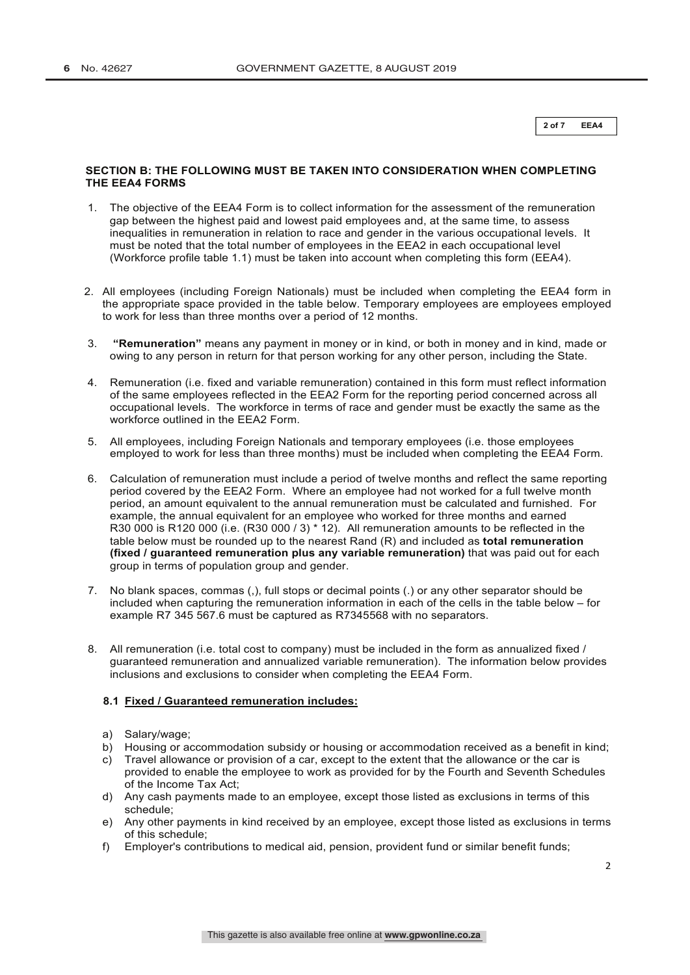$2$  of  $7$ FFA4

#### SECTION B: THE FOLLOWING MUST BE TAKEN INTO CONSIDERATION WHEN COMPLETING THE EEA4 FORMS

- 1. The objective of the EEA4 Form is to collect information for the assessment of the remuneration gap between the highest paid and lowest paid employees and, at the same time, to assess inequalities in remuneration in relation to race and gender in the various occupational levels. It must be noted that the total number of employees in the EEA2 in each occupational level (Workforce profile table 1.1) must be taken into account when completing this form (EEA4).
- 2. All employees (including Foreign Nationals) must be included when completing the EEA4 form in the appropriate space provided in the table below. Temporary employees are employees employed to work for less than three months over a period of 12 months.
- $3<sub>1</sub>$ "Remuneration" means any payment in money or in kind, or both in money and in kind, made or owing to any person in return for that person working for any other person, including the State.
- 4. Remuneration (i.e. fixed and variable remuneration) contained in this form must reflect information of the same employees reflected in the EEA2 Form for the reporting period concerned across all occupational levels. The workforce in terms of race and gender must be exactly the same as the workforce outlined in the EEA2 Form.
- 5. All employees, including Foreign Nationals and temporary employees (i.e. those employees employed to work for less than three months) must be included when completing the EEA4 Form.
- 6. Calculation of remuneration must include a period of twelve months and reflect the same reporting period covered by the EEA2 Form. Where an employee had not worked for a full twelve month period, an amount equivalent to the annual remuneration must be calculated and furnished. For example, the annual equivalent for an employee who worked for three months and earned R30 000 is R120 000 (i.e. (R30 000 / 3) \* 12). All remuneration amounts to be reflected in the table below must be rounded up to the nearest Rand (R) and included as total remuneration (fixed / guaranteed remuneration plus any variable remuneration) that was paid out for each group in terms of population group and gender.
- 7. No blank spaces, commas (,), full stops or decimal points (.) or any other separator should be included when capturing the remuneration information in each of the cells in the table below - for example R7 345 567.6 must be captured as R7345568 with no separators.
- 8. All remuneration (i.e. total cost to company) must be included in the form as annualized fixed / guaranteed remuneration and annualized variable remuneration). The information below provides inclusions and exclusions to consider when completing the EEA4 Form.

#### 8.1 Fixed / Guaranteed remuneration includes:

- a) Salary/wage;
- b) Housing or accommodation subsidy or housing or accommodation received as a benefit in kind;
- c) Travel allowance or provision of a car, except to the extent that the allowance or the car is provided to enable the employee to work as provided for by the Fourth and Seventh Schedules of the Income Tax Act:
- d) Any cash payments made to an employee, except those listed as exclusions in terms of this schedule:
- e) Any other payments in kind received by an employee, except those listed as exclusions in terms of this schedule:
- f) Employer's contributions to medical aid, pension, provident fund or similar benefit funds;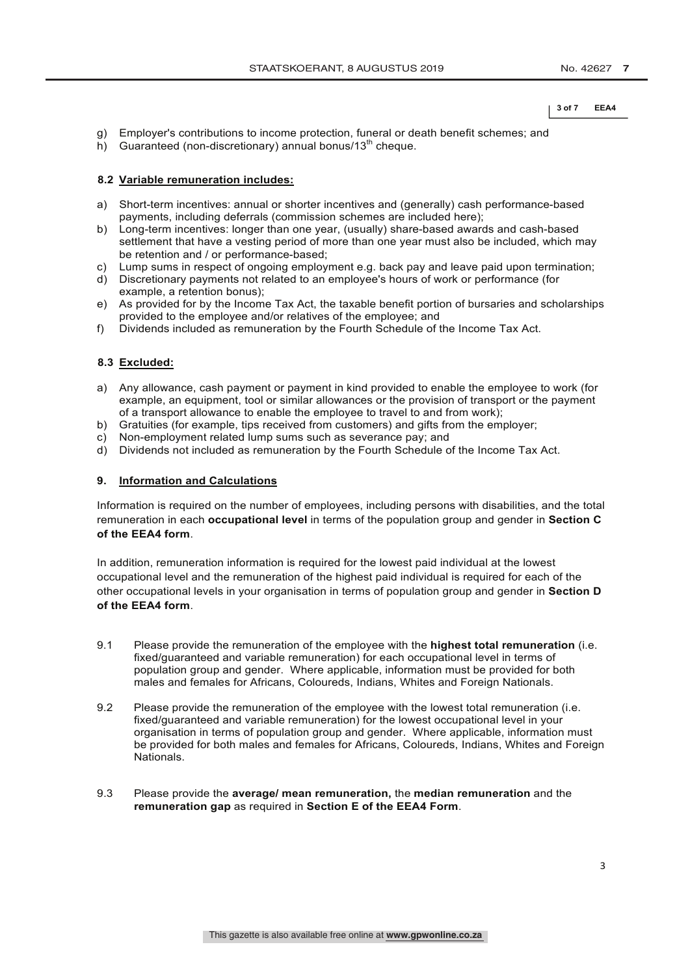#### 3 of 7 **EEA4**

- g) Employer's contributions to income protection, funeral or death benefit schemes; and
- h) Guaranteed (non-discretionary) annual bonus/13<sup>th</sup> cheque.

#### **8.2 Variable remuneration includes:**

- a) Short-term incentives: annual or shorter incentives and (generally) cash performance-based payments, including deferrals (commission schemes are included here);
- b) Long-term incentives: longer than one year, (usually) share-based awards and cash-based settlement that have a vesting period of more than one year must also be included, which may be retention and / or performance-based:
- c) Lump sums in respect of ongoing employment e.g. back pay and leave paid upon termination;
- d) Discretionary payments not related to an employee's hours of work or performance (for example, a retention bonus);
- e) As provided for by the Income Tax Act, the taxable benefit portion of bursaries and scholarships provided to the employee and/or relatives of the employee; and
- f) Dividends included as remuneration by the Fourth Schedule of the Income Tax Act.

#### 8.3 Excluded:

- a) Any allowance, cash payment or payment in kind provided to enable the employee to work (for example, an equipment, tool or similar allowances or the provision of transport or the payment of a transport allowance to enable the employee to travel to and from work);
- b) Gratuities (for example, tips received from customers) and gifts from the employer;
- c) Non-employment related lump sums such as severance pay; and
- d) Dividends not included as remuneration by the Fourth Schedule of the Income Tax Act.

#### **9.** Information and Calculations

Information is required on the number of employees, including persons with disabilities, and the total remuneration in each **occupational level** in terms of the population group and gender in Section C of the EEA4 form.

In addition, remuneration information is required for the lowest paid individual at the lowest occupational level and the remuneration of the highest paid individual is required for each of the other occupational levels in your organisation in terms of population group and gender in Section D of the EEA4 form.

- 9.1 Please provide the remuneration of the employee with the **highest total remuneration** (i.e. fixed/guaranteed and variable remuneration) for each occupational level in terms of population group and gender. Where applicable, information must be provided for both males and females for Africans, Coloureds, Indians, Whites and Foreign Nationals,
- 9.2 Please provide the remuneration of the employee with the lowest total remuneration (i.e. fixed/guaranteed and variable remuneration) for the lowest occupational level in your organisation in terms of population group and gender. Where applicable, information must be provided for both males and females for Africans, Coloureds, Indians, Whites and Foreign Nationals.
- 9.3 Please provide the **average/ mean remuneration**, the **median remuneration** and the remuneration gap as required in Section E of the EEA4 Form.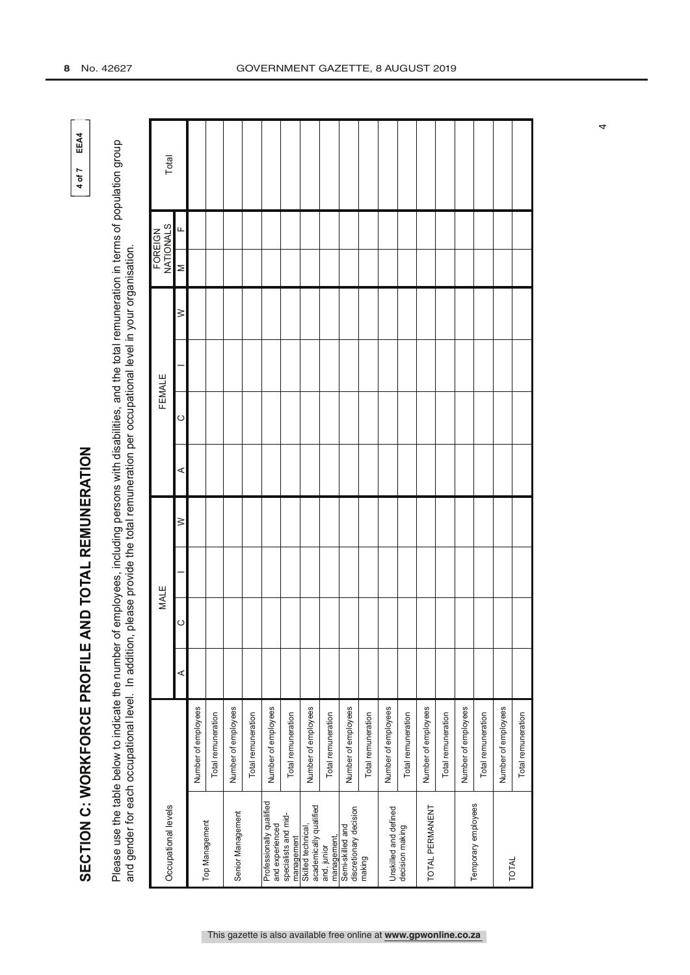| <br> <br> <br> <br> <br>                        |
|-------------------------------------------------|
|                                                 |
|                                                 |
|                                                 |
|                                                 |
|                                                 |
|                                                 |
|                                                 |
|                                                 |
|                                                 |
|                                                 |
| Ĺ                                               |
|                                                 |
|                                                 |
|                                                 |
|                                                 |
|                                                 |
|                                                 |
|                                                 |
|                                                 |
|                                                 |
| I                                               |
|                                                 |
|                                                 |
|                                                 |
|                                                 |
|                                                 |
|                                                 |
|                                                 |
|                                                 |
|                                                 |
|                                                 |
|                                                 |
|                                                 |
|                                                 |
|                                                 |
|                                                 |
|                                                 |
| <b>WELC INFORMATIVE LINGER LOCAL/ICONTINUES</b> |
|                                                 |
|                                                 |
| i<br> <br>                                      |
|                                                 |
|                                                 |
|                                                 |
|                                                 |
|                                                 |

Please use the table below to indicate the number of employees, including persons with disabilities, and the total remuneration in terms of population group<br>and gender for each occupational level. In addition, please provi

| Occupational levels                         |                     |   |   | MALE |        |   |         | FEMALE |   | NATIONALS<br>FOREIGN |   | Total |
|---------------------------------------------|---------------------|---|---|------|--------|---|---------|--------|---|----------------------|---|-------|
|                                             |                     | ⋖ | ပ |      | $\geq$ | ⋖ | $\circ$ |        | ≥ | Σ                    | Щ |       |
|                                             | Number of employees |   |   |      |        |   |         |        |   |                      |   |       |
| Top Management                              | Total remuneration  |   |   |      |        |   |         |        |   |                      |   |       |
| Senior Management                           | Number of employees |   |   |      |        |   |         |        |   |                      |   |       |
|                                             | Total remuneration  |   |   |      |        |   |         |        |   |                      |   |       |
| Professionally qualified<br>and experienced | Number of employees |   |   |      |        |   |         |        |   |                      |   |       |
| specialists and mid-<br>management          | Total remuneration  |   |   |      |        |   |         |        |   |                      |   |       |
| academically qualified<br>Skilled technical | Number of employees |   |   |      |        |   |         |        |   |                      |   |       |
| management,<br>and, junior                  | Total remuneration  |   |   |      |        |   |         |        |   |                      |   |       |
| discretionary decision<br>Semi-skilled and  | Number of employees |   |   |      |        |   |         |        |   |                      |   |       |
| making                                      | Total remuneration  |   |   |      |        |   |         |        |   |                      |   |       |
| Unskilled and defined                       | Number of employees |   |   |      |        |   |         |        |   |                      |   |       |
| decision making                             | Total remuneration  |   |   |      |        |   |         |        |   |                      |   |       |
| TOTAL PERMANENT                             | Number of employees |   |   |      |        |   |         |        |   |                      |   |       |
|                                             | Total remuneration  |   |   |      |        |   |         |        |   |                      |   |       |
|                                             | Number of employees |   |   |      |        |   |         |        |   |                      |   |       |
| Temporary employees                         | Total remuneration  |   |   |      |        |   |         |        |   |                      |   |       |
| <b>TOTAL</b>                                | Number of employees |   |   |      |        |   |         |        |   |                      |   |       |
|                                             | Total remuneration  |   |   |      |        |   |         |        |   |                      |   |       |

This gazette is also available free online at www.gpwonline.co.za

 $\overline{a}$ 

EEA4

4 of 7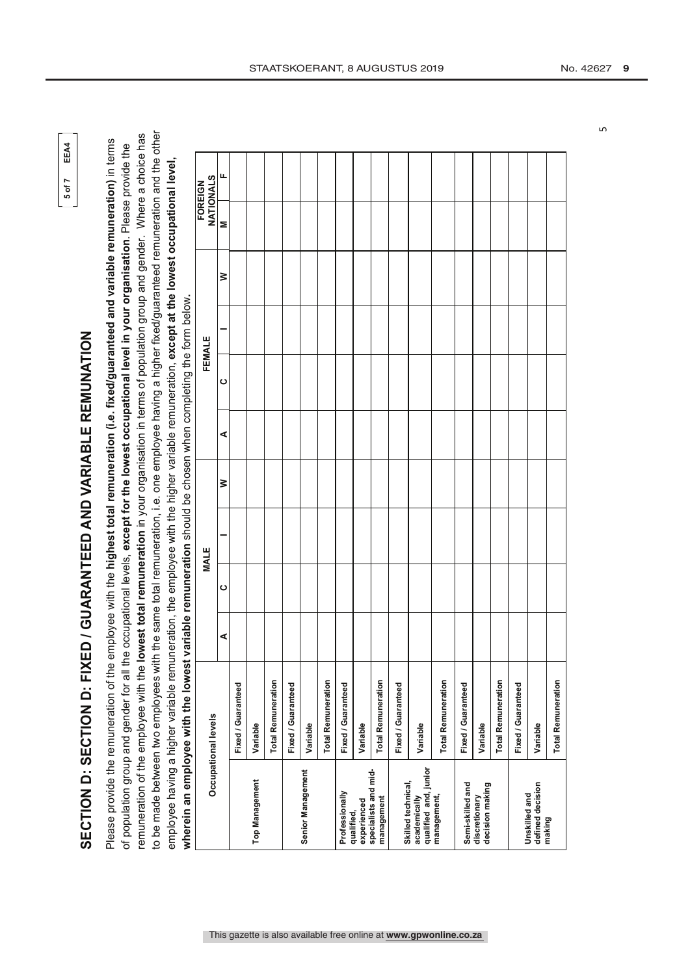|                                       | SECTION D: SECTION D: FIXED / GUARANTEED AND VARIABLE REMUNATION                                                                                                                                                                                                                                                                                                                                                                                                                                                                                                                                                                                       |   |   |             |        |   |   |        |                                                                                                       |                             |  |
|---------------------------------------|--------------------------------------------------------------------------------------------------------------------------------------------------------------------------------------------------------------------------------------------------------------------------------------------------------------------------------------------------------------------------------------------------------------------------------------------------------------------------------------------------------------------------------------------------------------------------------------------------------------------------------------------------------|---|---|-------------|--------|---|---|--------|-------------------------------------------------------------------------------------------------------|-----------------------------|--|
|                                       | to be made between two employees with the same total remuneration, i.e. one employee having a higher fixed/guaranteed remuneration and the other<br>remuneration of the employee with the lowest total remuneration in your organisation in terms of population group and gender. Where a choice has<br>of population group and gender for all the occupational levels, except for the lowest occupational level in your organisation. Please provide the<br>employee having a higher variable remuneration, the employee with the higher variable remuneration, except at the lowest occupational level,<br>Please provide the remuneration of the em |   |   |             |        |   |   |        | ployee with the highest total remuneration (i.e. fixed/guaranteed and variable remuneration) in terms |                             |  |
|                                       | wherein an employee with the lowest variable remuneration should be chosen when completing the form below.                                                                                                                                                                                                                                                                                                                                                                                                                                                                                                                                             |   |   |             |        |   |   |        |                                                                                                       |                             |  |
|                                       | Occupational levels                                                                                                                                                                                                                                                                                                                                                                                                                                                                                                                                                                                                                                    |   |   | <b>MALE</b> |        |   |   | FEMALE |                                                                                                       | NATIONALS<br><b>FOREIGN</b> |  |
|                                       |                                                                                                                                                                                                                                                                                                                                                                                                                                                                                                                                                                                                                                                        | ⋖ | ပ |             | $\geq$ | ⋖ | ပ |        | ₹                                                                                                     | Σ                           |  |
|                                       | Fixed / Guaranteed                                                                                                                                                                                                                                                                                                                                                                                                                                                                                                                                                                                                                                     |   |   |             |        |   |   |        |                                                                                                       |                             |  |
| <b>Top Management</b>                 | Variable                                                                                                                                                                                                                                                                                                                                                                                                                                                                                                                                                                                                                                               |   |   |             |        |   |   |        |                                                                                                       |                             |  |
|                                       | <b>Total Remuneration</b>                                                                                                                                                                                                                                                                                                                                                                                                                                                                                                                                                                                                                              |   |   |             |        |   |   |        |                                                                                                       |                             |  |
|                                       | Fixed / Guaranteed                                                                                                                                                                                                                                                                                                                                                                                                                                                                                                                                                                                                                                     |   |   |             |        |   |   |        |                                                                                                       |                             |  |
| <b>Senior Management</b>              | Variable                                                                                                                                                                                                                                                                                                                                                                                                                                                                                                                                                                                                                                               |   |   |             |        |   |   |        |                                                                                                       |                             |  |
|                                       | <b>Total Remuneration</b>                                                                                                                                                                                                                                                                                                                                                                                                                                                                                                                                                                                                                              |   |   |             |        |   |   |        |                                                                                                       |                             |  |
| Professionally<br>qualified,          | Fixed / Guaranteed                                                                                                                                                                                                                                                                                                                                                                                                                                                                                                                                                                                                                                     |   |   |             |        |   |   |        |                                                                                                       |                             |  |
| experienced                           | Variable                                                                                                                                                                                                                                                                                                                                                                                                                                                                                                                                                                                                                                               |   |   |             |        |   |   |        |                                                                                                       |                             |  |
| specialists and mid-<br>management    | <b>Total Remuneration</b>                                                                                                                                                                                                                                                                                                                                                                                                                                                                                                                                                                                                                              |   |   |             |        |   |   |        |                                                                                                       |                             |  |
| Skilled technical,                    | Fixed / Guaranteed                                                                                                                                                                                                                                                                                                                                                                                                                                                                                                                                                                                                                                     |   |   |             |        |   |   |        |                                                                                                       |                             |  |
| qualified and, junior<br>academically | Variable                                                                                                                                                                                                                                                                                                                                                                                                                                                                                                                                                                                                                                               |   |   |             |        |   |   |        |                                                                                                       |                             |  |
| management,                           | <b>Total Remuneration</b>                                                                                                                                                                                                                                                                                                                                                                                                                                                                                                                                                                                                                              |   |   |             |        |   |   |        |                                                                                                       |                             |  |
| Semi-skilled and                      | Fixed / Guaranteed                                                                                                                                                                                                                                                                                                                                                                                                                                                                                                                                                                                                                                     |   |   |             |        |   |   |        |                                                                                                       |                             |  |
| decision making<br>discretionary      | Variable                                                                                                                                                                                                                                                                                                                                                                                                                                                                                                                                                                                                                                               |   |   |             |        |   |   |        |                                                                                                       |                             |  |
|                                       | <b>Total Remuneration</b>                                                                                                                                                                                                                                                                                                                                                                                                                                                                                                                                                                                                                              |   |   |             |        |   |   |        |                                                                                                       |                             |  |
| Unskilled and                         | Fixed / Guaranteed                                                                                                                                                                                                                                                                                                                                                                                                                                                                                                                                                                                                                                     |   |   |             |        |   |   |        |                                                                                                       |                             |  |
| defined decision<br>making            | Variable                                                                                                                                                                                                                                                                                                                                                                                                                                                                                                                                                                                                                                               |   |   |             |        |   |   |        |                                                                                                       |                             |  |
|                                       | <b>Total Remuneration</b>                                                                                                                                                                                                                                                                                                                                                                                                                                                                                                                                                                                                                              |   |   |             |        |   |   |        |                                                                                                       |                             |  |

EEA4

5 of 7

 $\mathsf{L}\mathsf{D}$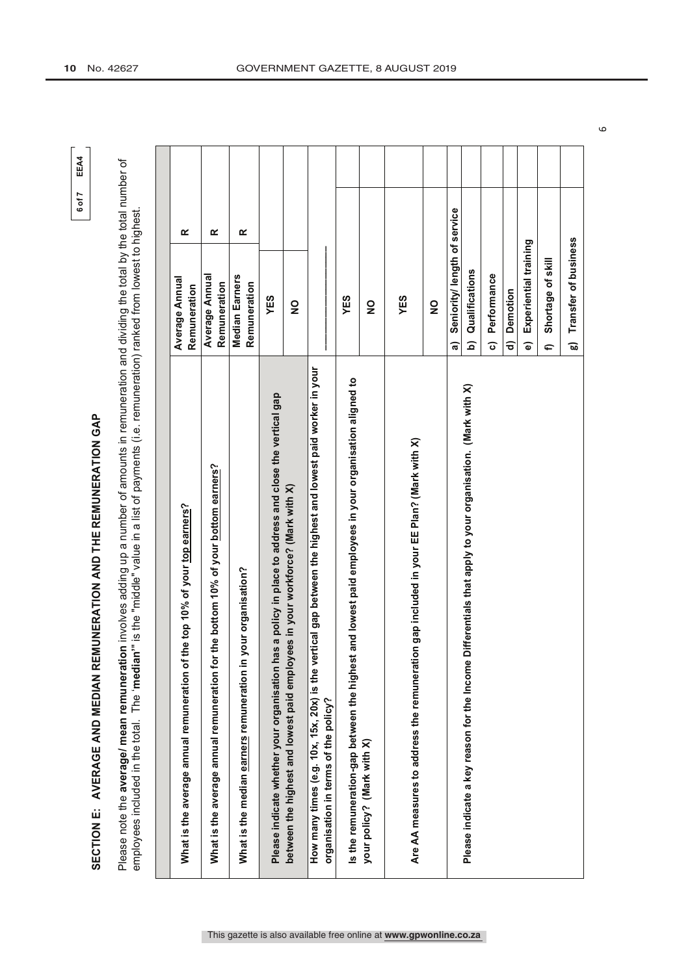| - 1<br>- 1<br>- 1<br>- 1 |
|--------------------------|
|                          |
|                          |
|                          |
| ļ                        |
| =<br>=<br>]              |
|                          |
|                          |
|                          |
|                          |
|                          |
|                          |
|                          |
|                          |
| Ì                        |
|                          |
|                          |
|                          |
|                          |
|                          |
|                          |
| <br> <br> <br> <br>      |
|                          |
| $\frac{1}{\sqrt{2}}$     |
| i<br>I                   |

Please note the average/ mean remuneration involves adding up a number of amounts in remuneration and dividing the total by the total number of<br>employees included in the total. The 'median'" is the "middle" value in a list

| the top 10% of your top earners?<br>What is the average annual remuneration of                                                                     | Average Annual<br>Remuneration        | œ        |  |
|----------------------------------------------------------------------------------------------------------------------------------------------------|---------------------------------------|----------|--|
| What is the average annual remuneration for the bottom 10% of your bottom earners?                                                                 | Average Annual<br>Remuneration        | $\alpha$ |  |
| your organisation?<br>What is the median earners remuneration in                                                                                   | <b>Median Earners</b><br>Remuneration | œ        |  |
| ras a policy in place to address and close the vertical gap<br>Please indicate whether your organisation h                                         | YES                                   |          |  |
| between the highest and lowest paid employees in your workforce? (Mark with X)                                                                     | $\frac{1}{2}$                         |          |  |
| How many times (e.g. 10x, 15x, 20x) is the vertical gap between the highest and lowest paid worker in your<br>organisation in terms of the policy? |                                       |          |  |
| Is the remuneration-gap between the highest and lowest paid employees in your organisation aligned to                                              | YES                                   |          |  |
| your policy? (Mark with X)                                                                                                                         | $\frac{0}{2}$                         |          |  |
| Are AA measures to address the remuneration gap included in your EE Plan? (Mark with X)                                                            | YES                                   |          |  |
|                                                                                                                                                    | $\frac{0}{2}$                         |          |  |
|                                                                                                                                                    | Seniority/length of service<br>ಹ      |          |  |
| Differentials that apply to your organisation. (Mark with X)<br>Please indicate a key reason for the Income                                        | Qualifications<br><u>ବ</u>            |          |  |
|                                                                                                                                                    | Performance<br>$\widehat{\mathbf{c}}$ |          |  |
|                                                                                                                                                    | Demotion<br>$\widehat{\sigma}$        |          |  |
|                                                                                                                                                    | Experiential training<br>ම            |          |  |
|                                                                                                                                                    | Shortage of skill<br>€                |          |  |
|                                                                                                                                                    | g) Transfer of business               |          |  |

GOVERNMENT GAZETTE, 8 AUGUST 2019

EEA4

6 of 7

 $\omega$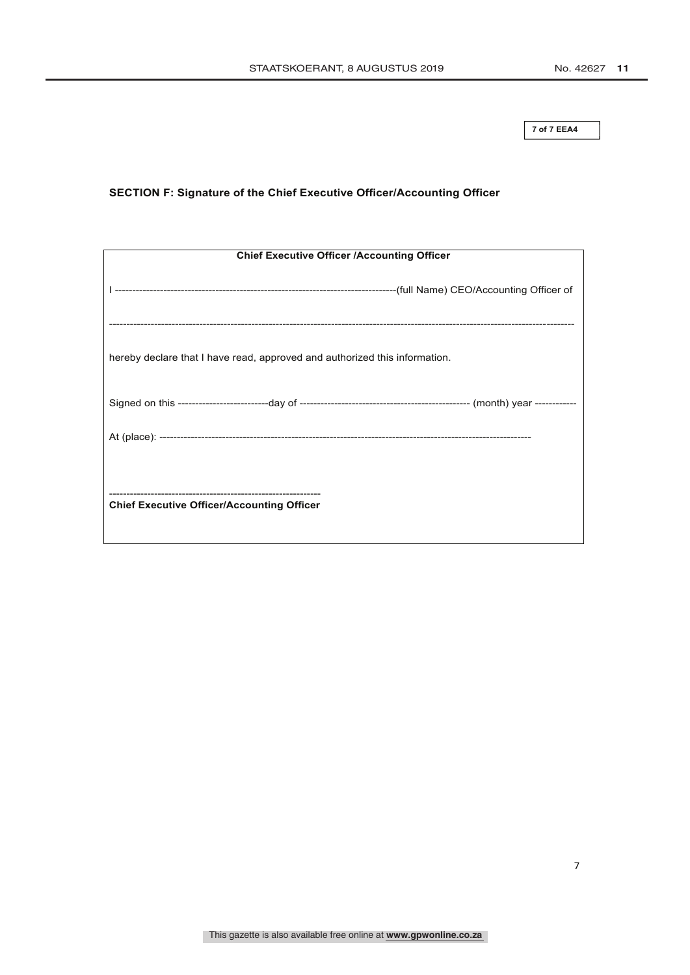7 of 7 EEA4

### SECTION F: Signature of the Chief Executive Officer/Accounting Officer

| <b>Chief Executive Officer /Accounting Officer</b>                         |
|----------------------------------------------------------------------------|
| ------------------------------------                                       |
| hereby declare that I have read, approved and authorized this information. |
|                                                                            |
|                                                                            |
|                                                                            |
| <b>Chief Executive Officer/Accounting Officer</b>                          |
|                                                                            |